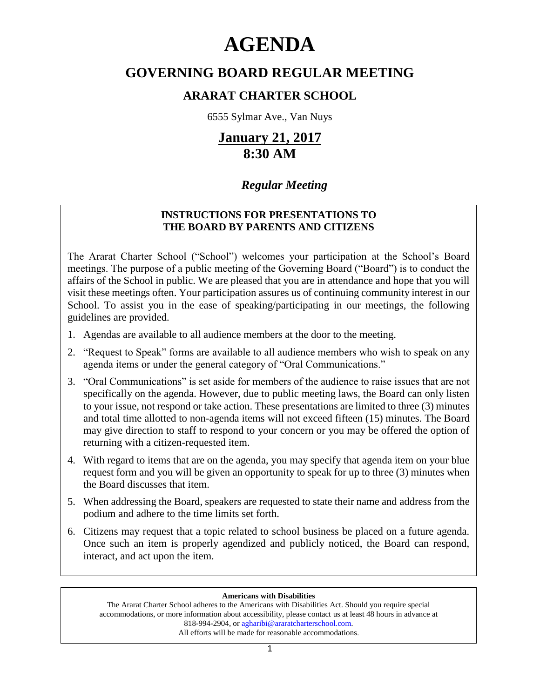# **AGENDA**

# **GOVERNING BOARD REGULAR MEETING**

# **ARARAT CHARTER SCHOOL**

6555 Sylmar Ave., Van Nuys

# **January 21, 2017 8:30 AM**

# *Regular Meeting*

### **INSTRUCTIONS FOR PRESENTATIONS TO THE BOARD BY PARENTS AND CITIZENS**

The Ararat Charter School ("School") welcomes your participation at the School's Board meetings. The purpose of a public meeting of the Governing Board ("Board") is to conduct the affairs of the School in public. We are pleased that you are in attendance and hope that you will visit these meetings often. Your participation assures us of continuing community interest in our School. To assist you in the ease of speaking/participating in our meetings, the following guidelines are provided.

- 1. Agendas are available to all audience members at the door to the meeting.
- 2. "Request to Speak" forms are available to all audience members who wish to speak on any agenda items or under the general category of "Oral Communications."
- 3. "Oral Communications" is set aside for members of the audience to raise issues that are not specifically on the agenda. However, due to public meeting laws, the Board can only listen to your issue, not respond or take action. These presentations are limited to three (3) minutes and total time allotted to non-agenda items will not exceed fifteen (15) minutes. The Board may give direction to staff to respond to your concern or you may be offered the option of returning with a citizen-requested item.
- 4. With regard to items that are on the agenda, you may specify that agenda item on your blue request form and you will be given an opportunity to speak for up to three (3) minutes when the Board discusses that item.
- 5. When addressing the Board, speakers are requested to state their name and address from the podium and adhere to the time limits set forth.
- 6. Citizens may request that a topic related to school business be placed on a future agenda. Once such an item is properly agendized and publicly noticed, the Board can respond, interact, and act upon the item.

#### **Americans with Disabilities**

The Ararat Charter School adheres to the Americans with Disabilities Act. Should you require special accommodations, or more information about accessibility, please contact us at least 48 hours in advance at 818-994-2904, or agharibi@araratcharterschool.com. All efforts will be made for reasonable accommodations.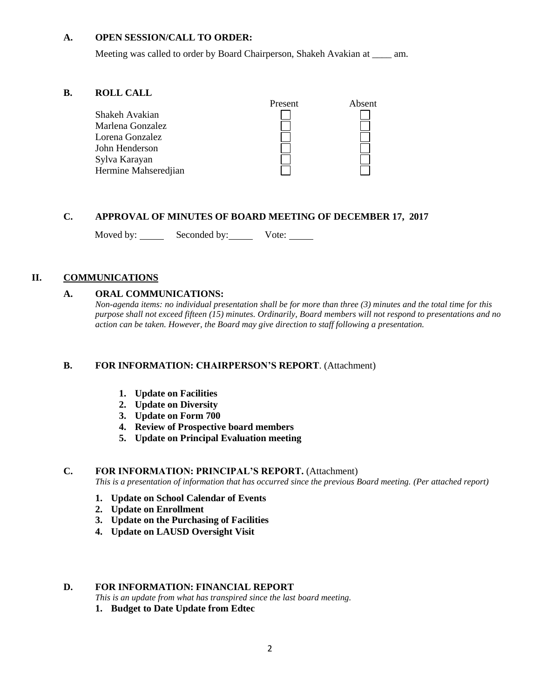#### **A. OPEN SESSION/CALL TO ORDER:**

Meeting was called to order by Board Chairperson, Shakeh Avakian at \_\_\_\_ am.

#### **B. ROLL CALL**



#### **C. APPROVAL OF MINUTES OF BOARD MEETING OF DECEMBER 17, 2017**

Moved by: Seconded by: Vote: Vote:

#### **II. COMMUNICATIONS**

#### **A. ORAL COMMUNICATIONS:**

*Non-agenda items: no individual presentation shall be for more than three (3) minutes and the total time for this purpose shall not exceed fifteen (15) minutes. Ordinarily, Board members will not respond to presentations and no action can be taken. However, the Board may give direction to staff following a presentation.*

#### **B. FOR INFORMATION: CHAIRPERSON'S REPORT**. (Attachment)

- **1. Update on Facilities**
- **2. Update on Diversity**
- **3. Update on Form 700**
- **4. Review of Prospective board members**
- **5. Update on Principal Evaluation meeting**

#### **C. FOR INFORMATION: PRINCIPAL'S REPORT.** (Attachment)

*This is a presentation of information that has occurred since the previous Board meeting. (Per attached report)*

- **1. Update on School Calendar of Events**
- **2. Update on Enrollment**
- **3. Update on the Purchasing of Facilities**
- **4. Update on LAUSD Oversight Visit**

#### **D. FOR INFORMATION: FINANCIAL REPORT**

*This is an update from what has transpired since the last board meeting.*

**1. Budget to Date Update from Edtec**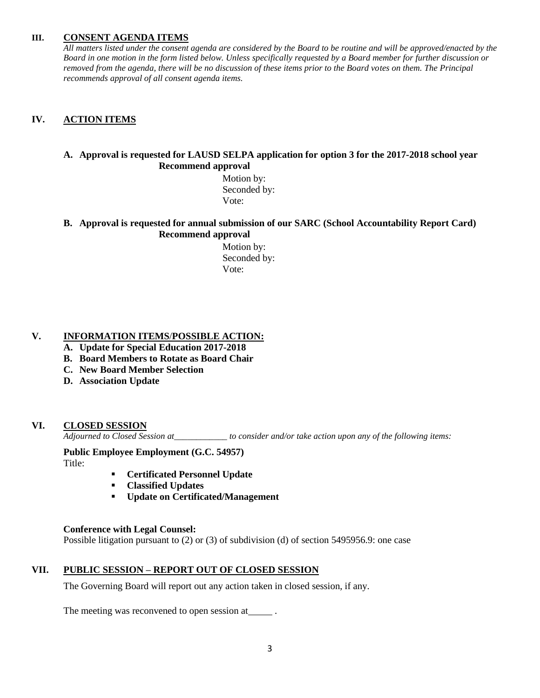#### **III. CONSENT AGENDA ITEMS**

*All matters listed under the consent agenda are considered by the Board to be routine and will be approved/enacted by the Board in one motion in the form listed below. Unless specifically requested by a Board member for further discussion or removed from the agenda, there will be no discussion of these items prior to the Board votes on them. The Principal recommends approval of all consent agenda items.*

#### **IV. ACTION ITEMS**

#### **A. Approval is requested for LAUSD SELPA application for option 3 for the 2017-2018 school year Recommend approval**

 Motion by: Seconded by: Vote:

#### **B. Approval is requested for annual submission of our SARC (School Accountability Report Card) Recommend approval**

 Motion by: Seconded by: Vote:

#### **V. INFORMATION ITEMS**/**POSSIBLE ACTION:**

- **A. Update for Special Education 2017-2018**
- **B. Board Members to Rotate as Board Chair**
- **C. New Board Member Selection**
- **D. Association Update**

#### **VI. CLOSED SESSION**

*Adjourned to Closed Session at\_\_\_\_\_\_\_\_\_\_\_\_ to consider and/or take action upon any of the following items:*

**Public Employee Employment (G.C. 54957)**

Title:

- **Certificated Personnel Update**
- **Classified Updates**
- **Update on Certificated/Management**

#### **Conference with Legal Counsel:**

Possible litigation pursuant to (2) or (3) of subdivision (d) of section 5495956.9: one case

#### **VII. PUBLIC SESSION – REPORT OUT OF CLOSED SESSION**

The Governing Board will report out any action taken in closed session, if any.

The meeting was reconvened to open session at \_\_\_\_\_\_.